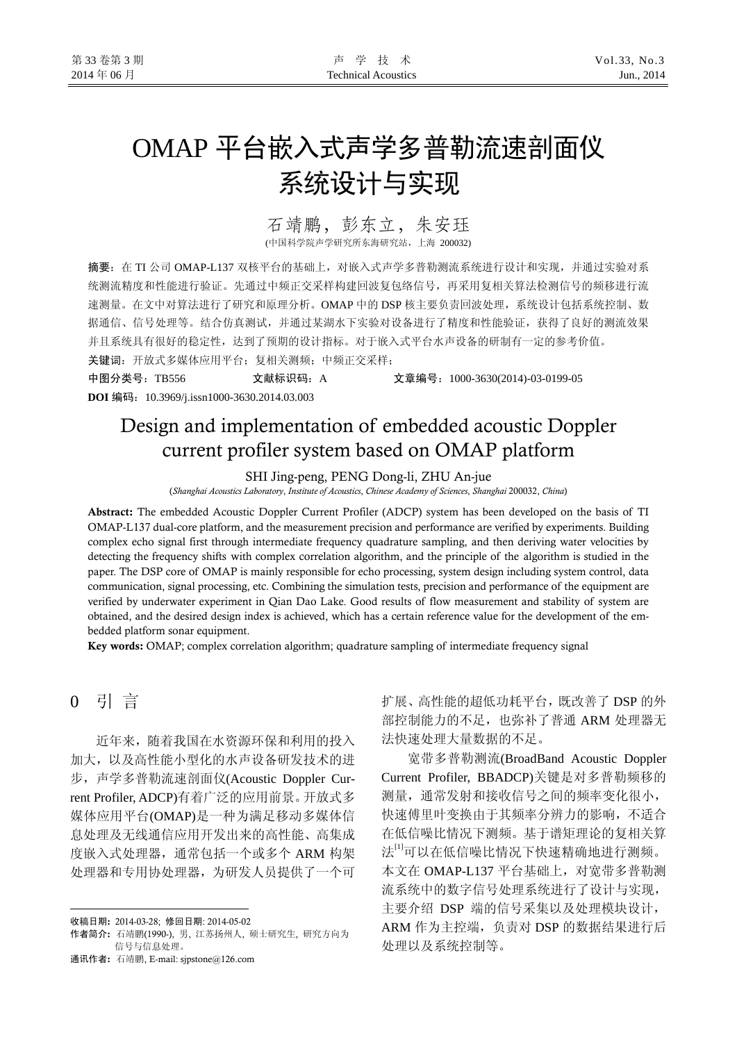# OMAP 平台嵌入式声学多普勒流速剖面仪 系统设计与实现

## 石靖鹏,彭东立,朱安珏

(中国科学院声学研究所东海研究站,上海 200032)

摘要: 在 TI 公司 OMAP-L137 双核平台的基础上, 对嵌入式声学多普勒测流系统进行设计和实现, 并通过实验对系 统测流精度和性能进行验证。先通过中频正交采样构建回波复包络信号,再采用复相关算法检测信号的频移进行流 速测量。在文中对算法进行了研究和原理分析。OMAP 中的 DSP 核主要负责回波处理,系统设计包括系统控制、数 据通信、信号处理等。结合仿真测试,并通过某湖水下实验对设备进行了精度和性能验证,获得了良好的测流效果 并且系统具有很好的稳定性,达到了预期的设计指标。对于嵌入式平台水声设备的研制有一定的参考价值。

关键词:开放式多媒体应用平台;复相关测频;中频正交采样;

中图分类号:TB556 文献标识码:A 文章编号:1000-3630(2014)-03-0199-05 **DOI** 编码:10.3969/j.issn1000-3630.2014.03.003

## Design and implementation of embedded acoustic Doppler current profiler system based on OMAP platform

SHI Jing-peng, PENG Dong-li, ZHU An-jue

(*Shanghai Acoustics Laboratory*, *Institute of Acoustics*, *Chinese Academy of Sciences*, *Shanghai* 200032, *China*)

Abstract: The embedded Acoustic Doppler Current Profiler (ADCP) system has been developed on the basis of TI OMAP-L137 dual-core platform, and the measurement precision and performance are verified by experiments. Building complex echo signal first through intermediate frequency quadrature sampling, and then deriving water velocities by detecting the frequency shifts with complex correlation algorithm, and the principle of the algorithm is studied in the paper. The DSP core of OMAP is mainly responsible for echo processing, system design including system control, data communication, signal processing, etc. Combining the simulation tests, precision and performance of the equipment are verified by underwater experiment in Qian Dao Lake. Good results of flow measurement and stability of system are obtained, and the desired design index is achieved, which has a certain reference value for the development of the embedded platform sonar equipment.

Key words: OMAP; complex correlation algorithm; quadrature sampling of intermediate frequency signal

## 0 引 言

 $\overline{a}$ 

近年来,随着我国在水资源环保和利用的投入 加大,以及高性能小型化的水声设备研发技术的进 步,声学多普勒流速剖面仪(Acoustic Doppler Current Profiler, ADCP)有着广泛的应用前景。开放式多 媒体应用平台(OMAP)是一种为满足移动多媒体信 息处理及无线通信应用开发出来的高性能、高集成 度嵌入式处理器,通常包括一个或多个 ARM 构架 处理器和专用协处理器,为研发人员提供了一个可

通讯作者: 石靖鹏, E-mail: sjpstone@126.com

扩展、高性能的超低功耗平台,既改善了 DSP 的外 部控制能力的不足,也弥补了普通 ARM 处理器无 法快速处理大量数据的不足。

宽带多普勒测流(BroadBand Acoustic Doppler Current Profiler, BBADCP)关键是对多普勒频移的 测量,通常发射和接收信号之间的频率变化很小, 快速傅里叶变换由于其频率分辨力的影响,不适合 在低信噪比情况下测频。基于谱矩理论的复相关算 法[1]可以在低信噪比情况下快速精确地进行测频。 本文在 OMAP-L137 平台基础上,对宽带多普勒测 流系统中的数字信号处理系统进行了设计与实现, 主要介绍 DSP 端的信号采集以及处理模块设计, ARM 作为主控端,负责对 DSP 的数据结果进行后 处理以及系统控制等。

收稿日期: 2014-03-28; 修回日期: 2014-05-02

作者简介: 石靖鹏(1990-), 男, 江苏扬州人, 硕士研究生, 研究方向为 信号与信息处理。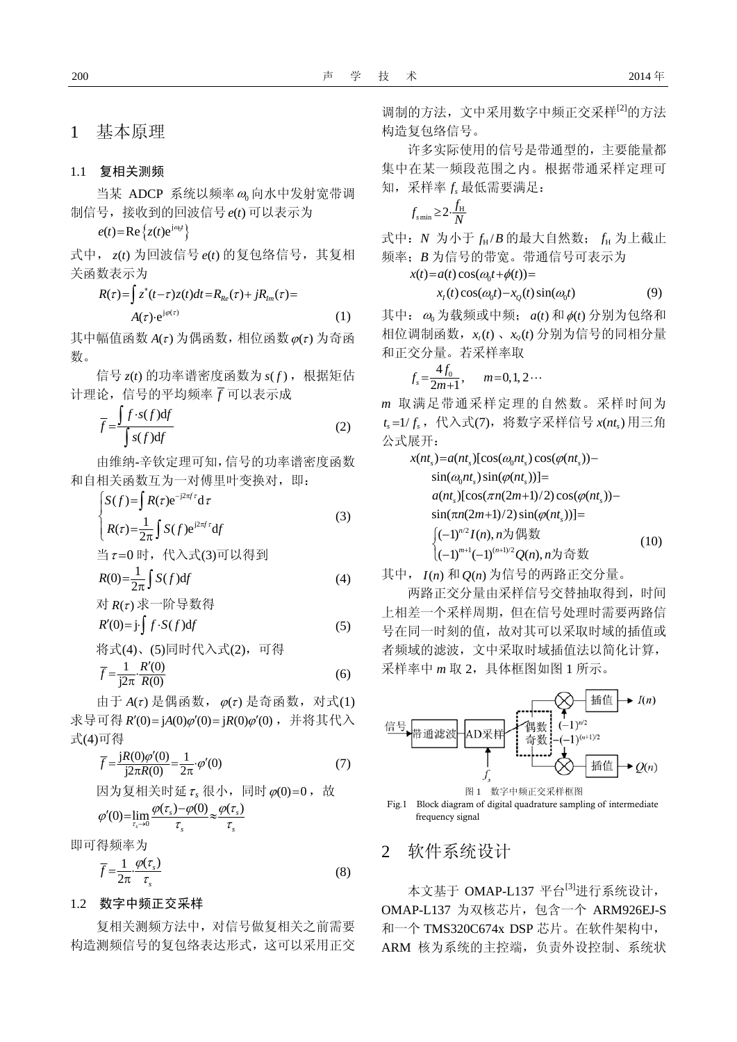1 基本原理

#### 1.1 复相关测频

当某 ADCP 系统以频率 $\omega_0$ 向水中发射宽带调 制信号,接收到的回波信号  $e(t)$  可以表示为

 $e(t) = \text{Re} \{ z(t) e^{j\omega_0 t} \}$ 

式中, z(t) 为回波信号 e(t) 的复包络信号, 其复相 关函数表示为

$$
R(\tau) = \int z^*(t-\tau)z(t)dt = R_{Re}(\tau) + jR_{Im}(\tau) =
$$
  
 
$$
A(\tau) \cdot e^{j\varphi(\tau)}
$$
 (1)

其中幅值函数  $A(\tau)$  为偶函数, 相位函数 $\varphi(\tau)$  为奇函 数。

信号  $z(t)$  的功率谱密度函数为  $s(f)$ , 根据矩估 计理论,信号的平均频率 *f* 可以表示成

$$
\overline{f} = \frac{\int f \cdot s(f) df}{\int s(f) df}
$$
\n(2)

由维纳-辛钦定理可知,信号的功率谱密度函数 和自相关函数互为一对傅里叶变换对,即:

$$
\begin{cases}\nS(f) = \int R(\tau) e^{-j2\pi f \tau} d\tau \\
R(\tau) = \frac{1}{2\pi} \int S(f) e^{j2\pi f \tau} df \\
\stackrel{\text{def}}{=} \tau = 0 \text{ H}, \quad \text{f}(\lambda, \vec{\mathcal{X}}(3)) \text{ in } \mathbb{U}(\{\exists\})\n\end{cases} \tag{3}
$$

$$
R(0) = \frac{1}{2\pi} \int S(f) df
$$
 (4)

对 *R*( ) <sup>τ</sup> 求一阶导数得 *R fSf* ′(0) j ( )d =⋅ ⋅ ∫ *<sup>f</sup>* (5)

将式(4)、(5)同时代入式(2),可得

$$
\overline{f} = \frac{1}{j2\pi} \cdot \frac{R'(0)}{R(0)}\tag{6}
$$

由于  $A(τ)$  是偶函数,  $\varphi(τ)$  是奇函数, 对式(1) 求导可得 *R'*(0)=jA(0)φ'(0)=jR(0)φ'(0), 并将其代入 式(4)可得

$$
\overline{f} = \frac{jR(0)\varphi'(0)}{j2\pi R(0)} = \frac{1}{2\pi} \varphi'(0)
$$
\n
$$
\overline{B} \overline{f} = \frac{jR(0)\varphi'(0)}{j2\pi R(0)} = \frac{1}{2\pi} \varphi'(0)
$$
\n
$$
\overline{B} \overline{f} = \frac{\varphi(\tau_s) - \varphi(0)}{\tau_s} \approx \frac{\varphi(\tau_s)}{\tau_s}
$$
\n
$$
\varphi'(0) = \lim_{\tau_s \to 0} \frac{\varphi(\tau_s) - \varphi(0)}{\tau_s} \approx \frac{\varphi(\tau_s)}{\tau_s}
$$
\n
$$
(7)
$$

即可得频率为

$$
\overline{f} = \frac{1}{2\pi} \cdot \frac{\varphi(\tau_s)}{\tau_s} \tag{8}
$$

#### 1.2 数字中频正交采样

复相关测频方法中,对信号做复相关之前需要 构造测频信号的复包络表达形式,这可以采用正交 调制的方法, 文中采用数字中频正交采样<sup>[2]</sup>的方法 构造复包络信号。

许多实际使用的信号是带通型的,主要能量都 集中在某一频段范围之内。根据带通采样定理可 知,采样率 *sf* 最低需要满足:

$$
f_{\text{smin}} \geq 2 \cdot \frac{f_{\text{H}}}{N}
$$

式中: *N* 为小于  $f_H / B$  的最大自然数;  $f_H$  为上截止 频率;*B* 为信号的带宽。带通信号可表示为

$$
x(t) = a(t)\cos(\omega_0 t + \phi(t)) =
$$

$$
x_1(t)\cos(\omega_0 t) - x_2(t)\sin(\omega_0 t) \tag{9}
$$

其中:  $\omega_0$ 为载频或中频;  $a(t)$  和  $\phi(t)$  分别为包络和 相位调制函数, $x_i(t)$ 、 $x_o(t)$ 分别为信号的同相分量 和正交分量。若采样率取

$$
f_s = \frac{4f_0}{2m+1}, \qquad m = 0, 1, 2 \cdots
$$

*m* 取满足带通采样定理的自然数。采样时间为  $t_s = 1/f_s$ , 代入式(7), 将数字采样信号  $x(nt_s)$  用三角 公式展开:

0 0 /2 1 ( 1)/2 ( 1) ( 1) ( ), *Qn n* 为奇数 (10) ( ) ( )[cos( ) cos( ( )) sin( ) sin( ( ))] ( )[cos( (2 1)/2) cos( ( )) sin( (2 1)/2) sin( ( ))] ( 1) ( ), *ss s s s s s s s n m n* + + ⎩ − − *x nt a nt nt nt nt nt a nt n m nt n m nt In n* ω ϕ ω ϕ <sup>π</sup> ϕ ϕ = − = + − π + = ⎧ − ⎨ 为偶数

其中,  $I(n)$  和  $Q(n)$  为信号的两路正交分量。

两路正交分量由采样信号交替抽取得到,时间 上相差一个采样周期,但在信号处理时需要两路信 号在同一时刻的值,故对其可以采取时域的插值或 者频域的滤波,文中采取时域插值法以简化计算, 采样率中 *m* 取 2,具体框图如图 1 所示。





#### 2 软件系统设计

本文基于 OMAP-L137 平台<sup>[3]</sup>进行系统设计, OMAP-L137 为双核芯片, 包含一个 ARM926EJ-S 和一个 TMS320C674x DSP 芯片。在软件架构中, ARM 核为系统的主控端,负责外设控制、系统状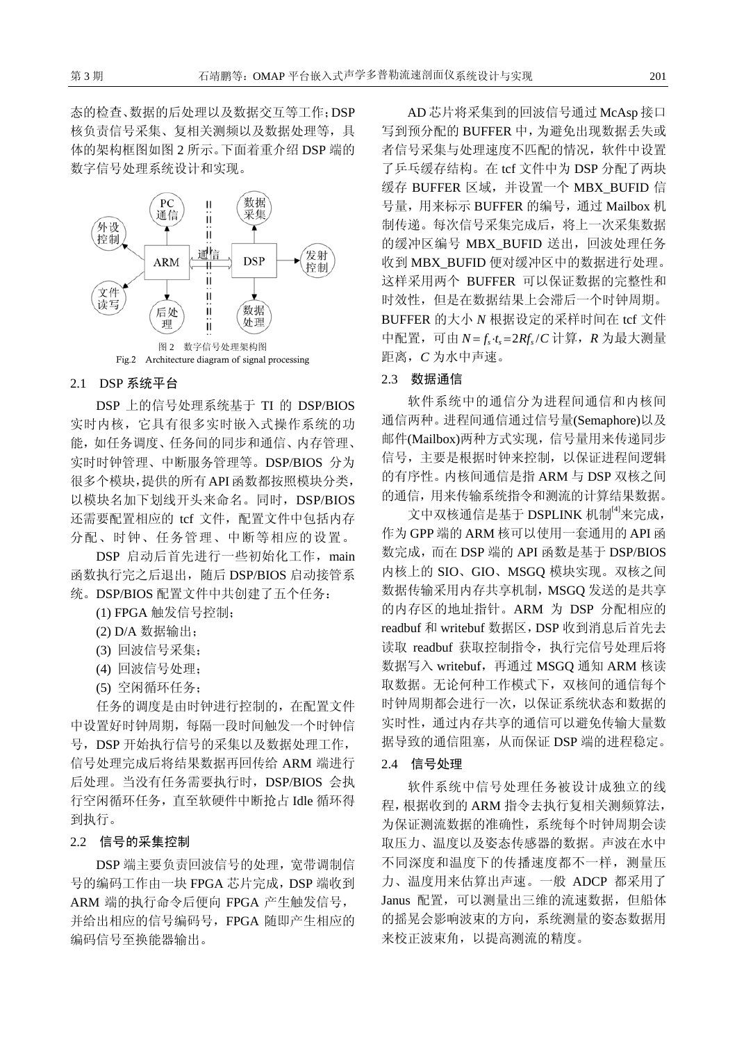态的检查、数据的后处理以及数据交互等工作;DSP 核负责信号采集、复相关测频以及数据处理等,具 体的架构框图如图 2 所示。下面着重介绍 DSP 端的 数字信号处理系统设计和实现。



#### 2.1 DSP 系统平台

DSP 上的信号处理系统基于 TI 的 DSP/BIOS 实时内核,它具有很多实时嵌入式操作系统的功 能,如任务调度、任务间的同步和通信、内存管理、 实时时钟管理、中断服务管理等。DSP/BIOS 分为 很多个模块,提供的所有API函数都按照模块分类, 以模块名加下划线开头来命名。同时,DSP/BIOS 还需要配置相应的 tcf 文件, 配置文件中包括内存 分配、时钟、任务管理、中断等相应的设置。

DSP 启动后首先进行一些初始化工作, main 函数执行完之后退出,随后 DSP/BIOS 启动接管系 统。DSP/BIOS 配置文件中共创建了五个任务:

(1) FPGA 触发信号控制;

- (2) D/A 数据输出;
- (3) 回波信号采集;
- (4) 回波信号处理;
- (5) 空闲循环任务;

任务的调度是由时钟进行控制的,在配置文件 中设置好时钟周期,每隔一段时间触发一个时钟信 号,DSP 开始执行信号的采集以及数据处理工作, 信号处理完成后将结果数据再回传给 ARM 端进行 后处理。当没有任务需要执行时,DSP/BIOS 会执 行空闲循环任务,直至软硬件中断抢占 Idle 循环得 到执行。

#### 2.2 信号的采集控制

DSP 端主要负责回波信号的处理,宽带调制信 号的编码工作由一块 FPGA 芯片完成,DSP 端收到 ARM 端的执行命令后便向 FPGA 产生触发信号, 并给出相应的信号编码号,FPGA 随即产生相应的 编码信号至换能器输出。

AD 芯片将采集到的回波信号通过 McAsp 接口 写到预分配的 BUFFER 中,为避免出现数据丢失或 者信号采集与处理速度不匹配的情况,软件中设置 了乒乓缓存结构。在 tcf 文件中为 DSP 分配了两块 缓存 BUFFER 区域,并设置一个 MBX\_BUFID 信 号量,用来标示 BUFFER 的编号,通过 Mailbox 机 制传递。每次信号采集完成后,将上一次采集数据 的缓冲区编号 MBX BUFID 送出,回波处理任务 收到 MBX\_BUFID 便对缓冲区中的数据进行处理。 这样采用两个 BUFFER 可以保证数据的完整性和 时效性,但是在数据结果上会滞后一个时钟周期。 BUFFER 的大小 *N* 根据设定的采样时间在 tcf 文件 中配置, 可由  $N = f_s \cdot t_s = 2Rf_s/C$  计算, R 为最大测量 距离,*C* 为水中声速。

#### 2.3 数据通信

软件系统中的通信分为进程间通信和内核间 通信两种。进程间通信通过信号量(Semaphore)以及 邮件(Mailbox)两种方式实现,信号量用来传递同步 信号,主要是根据时钟来控制,以保证进程间逻辑 的有序性。内核间通信是指 ARM 与 DSP 双核之间 的通信,用来传输系统指令和测流的计算结果数据。

文中双核通信是基于 DSPLINK 机制<sup>[4]</sup>来完成, 作为 GPP 端的 ARM 核可以使用一套通用的 API 函 数完成,而在 DSP 端的 API 函数是基于 DSP/BIOS 内核上的 SIO、GIO、MSGQ 模块实现。双核之间 数据传输采用内存共享机制, MSGO 发送的是共享 的内存区的地址指针。ARM 为 DSP 分配相应的 readbuf 和 writebuf 数据区,DSP 收到消息后首先去 读取 readbuf 获取控制指令,执行完信号处理后将 数据写入 writebuf,再通过 MSGQ 通知 ARM 核读 取数据。无论何种工作模式下,双核间的通信每个 时钟周期都会进行一次,以保证系统状态和数据的 实时性,通过内存共享的通信可以避免传输大量数 据导致的通信阻塞,从而保证 DSP 端的进程稳定。

#### 2.4 信号处理

软件系统中信号处理任务被设计成独立的线 程,根据收到的 ARM 指令去执行复相关测频算法, 为保证测流数据的准确性,系统每个时钟周期会读 取压力、温度以及姿态传感器的数据。声波在水中 不同深度和温度下的传播速度都不一样,测量压 力、温度用来估算出声速。一般 ADCP 都采用了 Janus 配置,可以测量出三维的流速数据,但船体 的摇晃会影响波束的方向,系统测量的姿态数据用 来校正波束角,以提高测流的精度。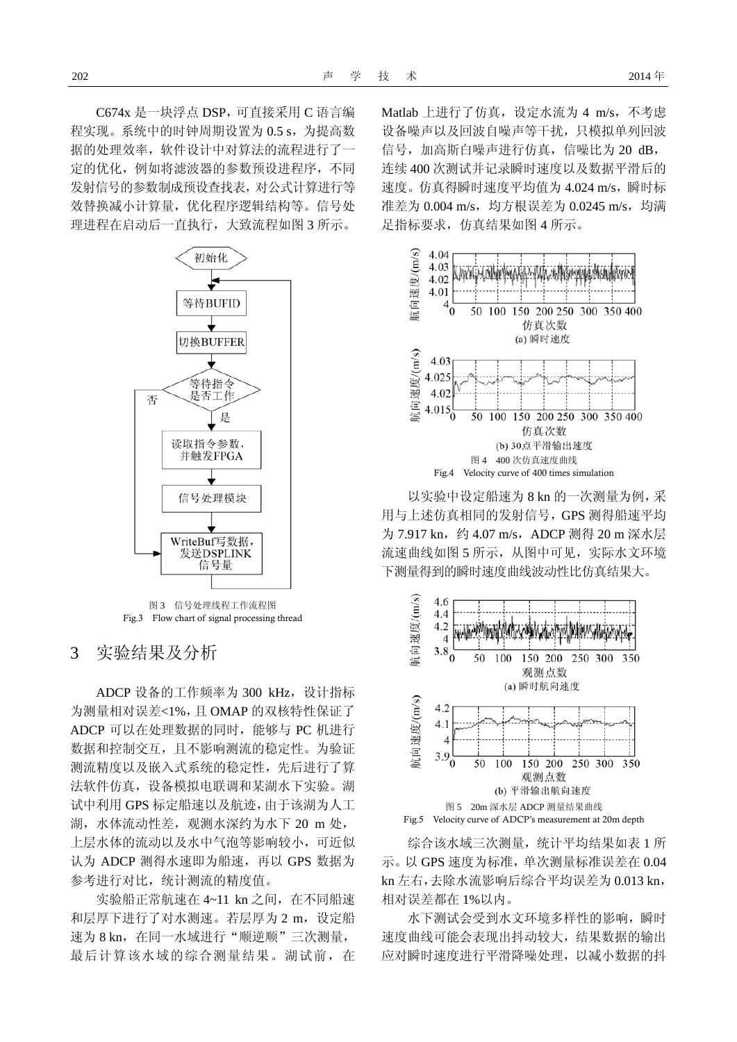C674x 是一块浮点 DSP,可直接采用 C 语言编 程实现。系统中的时钟周期设置为 0.5 s, 为提高数 据的处理效率,软件设计中对算法的流程进行了一 定的优化,例如将滤波器的参数预设进程序,不同 发射信号的参数制成预设查找表,对公式计算进行等 效替换减小计算量,优化程序逻辑结构等。信号处 理进程在启动后一直执行,大致流程如图 3 所示。



图 3 信号处理线程工作流程图 Fig.3 Flow chart of signal processing thread

3 实验结果及分析

ADCP 设备的工作频率为 300 kHz, 设计指标 为测量相对误差<1%,且 OMAP 的双核特性保证了 ADCP 可以在处理数据的同时,能够与 PC 机进行 数据和控制交互,且不影响测流的稳定性。为验证 测流精度以及嵌入式系统的稳定性,先后进行了算 法软件仿真, 设备模拟电联调和某湖水下实验。湖 试中利用 GPS 标定船速以及航迹,由于该湖为人工 湖,水体流动性差,观测水深约为水下 20 m 处, 上层水体的流动以及水中气泡等影响较小,可近似 认为 ADCP 测得水速即为船速, 再以 GPS 数据为 参考进行对比,统计测流的精度值。

实验船正常航速在 4~11 kn 之间,在不同船速 和层厚下进行了对水测速。若层厚为 2 m, 设定船 速为 8 kn, 在同一水域进行"顺逆顺"三次测量, 最后计算该水域的综合测量结果。湖试前,在 Matlab 上进行了仿真, 设定水流为 4 m/s, 不考虑 设备噪声以及回波自噪声等干扰,只模拟单列回波 信号,加高斯白噪声进行仿真,信噪比为 20 dB, 连续 400 次测试并记录瞬时速度以及数据平滑后的 速度。仿真得瞬时速度平均值为 4.024 m/s, 瞬时标 准差为 0.004 m/s, 均方根误差为 0.0245 m/s, 均满 足指标要求,仿真结果如图 4 所示。



以实验中设定船速为 8 kn 的一次测量为例,采 用与上述仿真相同的发射信号,GPS 测得船速平均 为 7.917 kn, 约 4.07 m/s, ADCP 测得 20 m 深水层 流速曲线如图 5 所示, 从图中可见, 实际水文环境 下测量得到的瞬时速度曲线波动性比仿真结果大。



综合该水域三次测量,统计平均结果如表 1 所 示。以 GPS 速度为标准,单次测量标准误差在 0.04 kn 左右,去除水流影响后综合平均误差为 0.013 kn, 相对误差都在 1%以内。

水下测试会受到水文环境多样性的影响,瞬时 速度曲线可能会表现出抖动较大,结果数据的输出 应对瞬时速度进行平滑降噪处理,以减小数据的抖